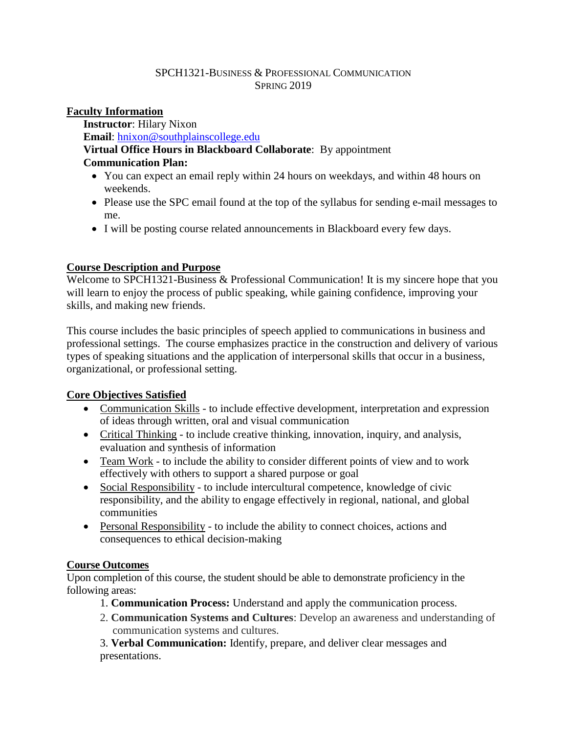#### SPCH1321-BUSINESS & PROFESSIONAL COMMUNICATION SPRING 2019

## **Faculty Information**

**Instructor**: Hilary Nixon **Email**: [hnixon@southplainscollege.edu](mailto:hnixon@southplainscollege.edu) **Virtual Office Hours in Blackboard Collaborate**: By appointment **Communication Plan:** 

- You can expect an email reply within 24 hours on weekdays, and within 48 hours on weekends.
- Please use the SPC email found at the top of the syllabus for sending e-mail messages to me.
- I will be posting course related announcements in Blackboard every few days.

## **Course Description and Purpose**

Welcome to SPCH1321-Business & Professional Communication! It is my sincere hope that you will learn to enjoy the process of public speaking, while gaining confidence, improving your skills, and making new friends.

This course includes the basic principles of speech applied to communications in business and professional settings. The course emphasizes practice in the construction and delivery of various types of speaking situations and the application of interpersonal skills that occur in a business, organizational, or professional setting.

# **Core Objectives Satisfied**

- Communication Skills to include effective development, interpretation and expression of ideas through written, oral and visual communication
- Critical Thinking to include creative thinking, innovation, inquiry, and analysis, evaluation and synthesis of information
- Team Work to include the ability to consider different points of view and to work effectively with others to support a shared purpose or goal
- Social Responsibility to include intercultural competence, knowledge of civic responsibility, and the ability to engage effectively in regional, national, and global communities
- Personal Responsibility to include the ability to connect choices, actions and consequences to ethical decision-making

# **Course Outcomes**

Upon completion of this course, the student should be able to demonstrate proficiency in the following areas:

- 1. **Communication Process:** Understand and apply the communication process.
- 2. **Communication Systems and Cultures**: Develop an awareness and understanding of communication systems and cultures.

3. **Verbal Communication:** Identify, prepare, and deliver clear messages and presentations.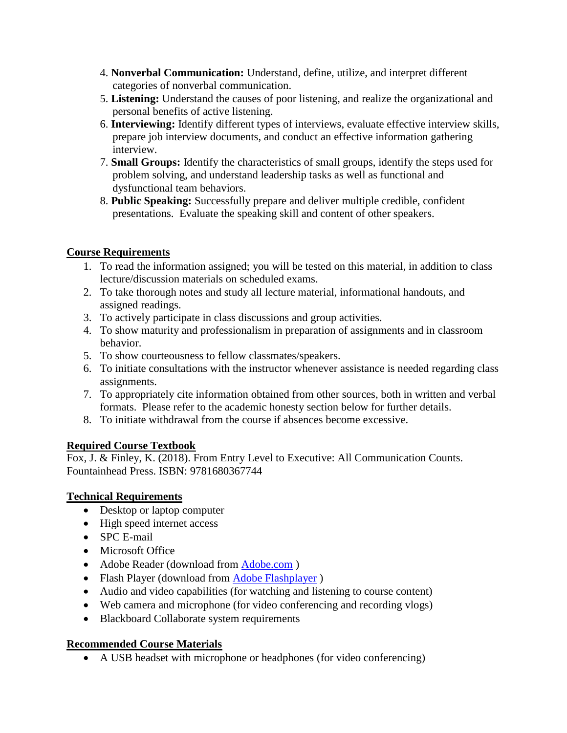- 4. **Nonverbal Communication:** Understand, define, utilize, and interpret different categories of nonverbal communication.
- 5. **Listening:** Understand the causes of poor listening, and realize the organizational and personal benefits of active listening.
- 6. **Interviewing:** Identify different types of interviews, evaluate effective interview skills, prepare job interview documents, and conduct an effective information gathering interview.
- 7. **Small Groups:** Identify the characteristics of small groups, identify the steps used for problem solving, and understand leadership tasks as well as functional and dysfunctional team behaviors.
- 8. **Public Speaking:** Successfully prepare and deliver multiple credible, confident presentations. Evaluate the speaking skill and content of other speakers.

# **Course Requirements**

- 1. To read the information assigned; you will be tested on this material, in addition to class lecture/discussion materials on scheduled exams.
- 2. To take thorough notes and study all lecture material, informational handouts, and assigned readings.
- 3. To actively participate in class discussions and group activities.
- 4. To show maturity and professionalism in preparation of assignments and in classroom behavior.
- 5. To show courteousness to fellow classmates/speakers.
- 6. To initiate consultations with the instructor whenever assistance is needed regarding class assignments.
- 7. To appropriately cite information obtained from other sources, both in written and verbal formats. Please refer to the academic honesty section below for further details.
- 8. To initiate withdrawal from the course if absences become excessive.

# **Required Course Textbook**

Fox, J. & Finley, K. (2018). From Entry Level to Executive: All Communication Counts. Fountainhead Press. ISBN: 9781680367744

# **Technical Requirements**

- Desktop or laptop computer
- High speed internet access
- SPC E-mail
- Microsoft Office
- Adobe Reader (download from [Adobe.com](http://get.adobe.com/reader) )
- Flash Player (download from [Adobe Flashplayer](http://get.adobe.com/flashplayer/))
- Audio and video capabilities (for watching and listening to course content)
- Web camera and microphone (for video conferencing and recording vlogs)
- Blackboard Collaborate system requirements

# **Recommended Course Materials**

A USB headset with microphone or headphones (for video conferencing)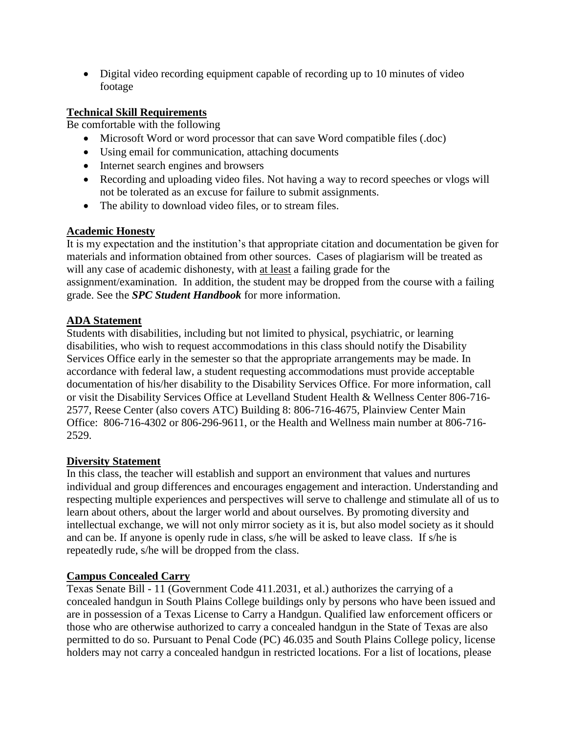• Digital video recording equipment capable of recording up to 10 minutes of video footage

## **Technical Skill Requirements**

Be comfortable with the following

- Microsoft Word or word processor that can save Word compatible files (.doc)
- Using email for communication, attaching documents
- Internet search engines and browsers
- Recording and uploading video files. Not having a way to record speeches or vlogs will not be tolerated as an excuse for failure to submit assignments.
- The ability to download video files, or to stream files.

## **Academic Honesty**

It is my expectation and the institution's that appropriate citation and documentation be given for materials and information obtained from other sources. Cases of plagiarism will be treated as will any case of academic dishonesty, with at least a failing grade for the assignment/examination. In addition, the student may be dropped from the course with a failing grade. See the *SPC Student Handbook* for more information.

## **ADA Statement**

Students with disabilities, including but not limited to physical, psychiatric, or learning disabilities, who wish to request accommodations in this class should notify the Disability Services Office early in the semester so that the appropriate arrangements may be made. In accordance with federal law, a student requesting accommodations must provide acceptable documentation of his/her disability to the Disability Services Office. For more information, call or visit the Disability Services Office at Levelland Student Health & Wellness Center 806-716- 2577, Reese Center (also covers ATC) Building 8: 806-716-4675, Plainview Center Main Office: 806-716-4302 or 806-296-9611, or the Health and Wellness main number at 806-716- 2529.

## **Diversity Statement**

In this class, the teacher will establish and support an environment that values and nurtures individual and group differences and encourages engagement and interaction. Understanding and respecting multiple experiences and perspectives will serve to challenge and stimulate all of us to learn about others, about the larger world and about ourselves. By promoting diversity and intellectual exchange, we will not only mirror society as it is, but also model society as it should and can be. If anyone is openly rude in class, s/he will be asked to leave class. If s/he is repeatedly rude, s/he will be dropped from the class.

# **Campus Concealed Carry**

Texas Senate Bill - 11 (Government Code 411.2031, et al.) authorizes the carrying of a concealed handgun in South Plains College buildings only by persons who have been issued and are in possession of a Texas License to Carry a Handgun. Qualified law enforcement officers or those who are otherwise authorized to carry a concealed handgun in the State of Texas are also permitted to do so. Pursuant to Penal Code (PC) 46.035 and South Plains College policy, license holders may not carry a concealed handgun in restricted locations. For a list of locations, please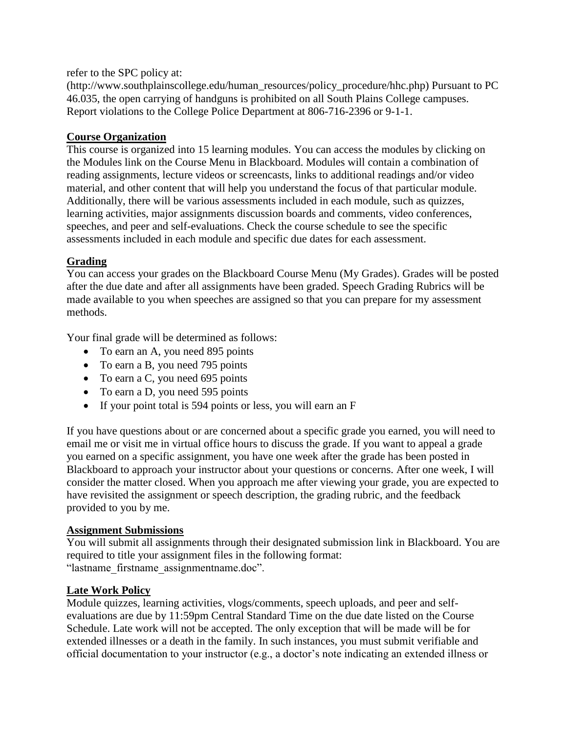refer to the SPC policy at:

(http://www.southplainscollege.edu/human\_resources/policy\_procedure/hhc.php) Pursuant to PC 46.035, the open carrying of handguns is prohibited on all South Plains College campuses. Report violations to the College Police Department at 806-716-2396 or 9-1-1.

## **Course Organization**

This course is organized into 15 learning modules. You can access the modules by clicking on the Modules link on the Course Menu in Blackboard. Modules will contain a combination of reading assignments, lecture videos or screencasts, links to additional readings and/or video material, and other content that will help you understand the focus of that particular module. Additionally, there will be various assessments included in each module, such as quizzes, learning activities, major assignments discussion boards and comments, video conferences, speeches, and peer and self-evaluations. Check the course schedule to see the specific assessments included in each module and specific due dates for each assessment.

## **Grading**

You can access your grades on the Blackboard Course Menu (My Grades). Grades will be posted after the due date and after all assignments have been graded. Speech Grading Rubrics will be made available to you when speeches are assigned so that you can prepare for my assessment methods.

Your final grade will be determined as follows:

- To earn an A, you need 895 points
- To earn a B, you need 795 points
- To earn a C, you need 695 points
- To earn a D, you need 595 points
- If your point total is 594 points or less, you will earn an F

If you have questions about or are concerned about a specific grade you earned, you will need to email me or visit me in virtual office hours to discuss the grade. If you want to appeal a grade you earned on a specific assignment, you have one week after the grade has been posted in Blackboard to approach your instructor about your questions or concerns. After one week, I will consider the matter closed. When you approach me after viewing your grade, you are expected to have revisited the assignment or speech description, the grading rubric, and the feedback provided to you by me.

## **Assignment Submissions**

You will submit all assignments through their designated submission link in Blackboard. You are required to title your assignment files in the following format: "lastname\_firstname\_assignmentname.doc".

## **Late Work Policy**

Module quizzes, learning activities, vlogs/comments, speech uploads, and peer and selfevaluations are due by 11:59pm Central Standard Time on the due date listed on the Course Schedule. Late work will not be accepted. The only exception that will be made will be for extended illnesses or a death in the family. In such instances, you must submit verifiable and official documentation to your instructor (e.g., a doctor's note indicating an extended illness or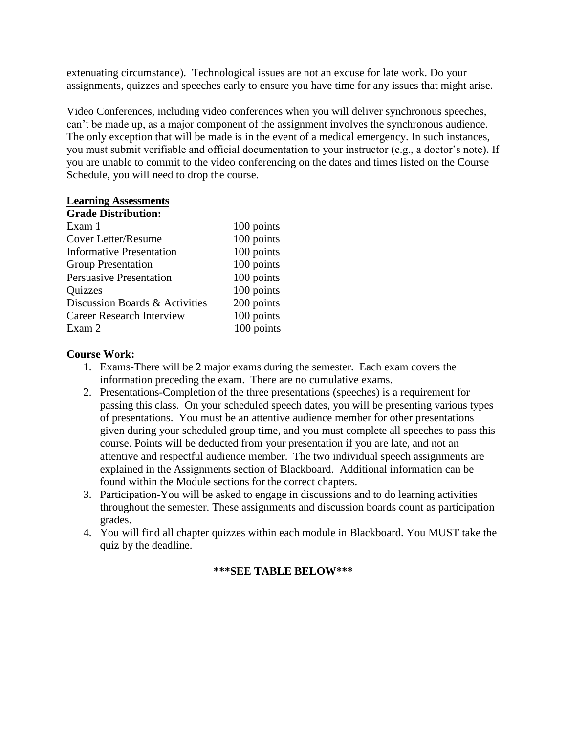extenuating circumstance). Technological issues are not an excuse for late work. Do your assignments, quizzes and speeches early to ensure you have time for any issues that might arise.

Video Conferences, including video conferences when you will deliver synchronous speeches, can't be made up, as a major component of the assignment involves the synchronous audience. The only exception that will be made is in the event of a medical emergency. In such instances, you must submit verifiable and official documentation to your instructor (e.g., a doctor's note). If you are unable to commit to the video conferencing on the dates and times listed on the Course Schedule, you will need to drop the course.

#### **Learning Assessments Grade Distribution:**

| <b>Grade Distribution:</b>       |            |
|----------------------------------|------------|
| Exam 1                           | 100 points |
| Cover Letter/Resume              | 100 points |
| <b>Informative Presentation</b>  | 100 points |
| <b>Group Presentation</b>        | 100 points |
| <b>Persuasive Presentation</b>   | 100 points |
| Quizzes                          | 100 points |
| Discussion Boards & Activities   | 200 points |
| <b>Career Research Interview</b> | 100 points |
| Exam 2                           | 100 points |

#### **Course Work:**

- 1. Exams-There will be 2 major exams during the semester. Each exam covers the information preceding the exam. There are no cumulative exams.
- 2. Presentations-Completion of the three presentations (speeches) is a requirement for passing this class. On your scheduled speech dates, you will be presenting various types of presentations. You must be an attentive audience member for other presentations given during your scheduled group time, and you must complete all speeches to pass this course. Points will be deducted from your presentation if you are late, and not an attentive and respectful audience member. The two individual speech assignments are explained in the Assignments section of Blackboard. Additional information can be found within the Module sections for the correct chapters.
- 3. Participation-You will be asked to engage in discussions and to do learning activities throughout the semester. These assignments and discussion boards count as participation grades.
- 4. You will find all chapter quizzes within each module in Blackboard. You MUST take the quiz by the deadline.

## **\*\*\*SEE TABLE BELOW\*\*\***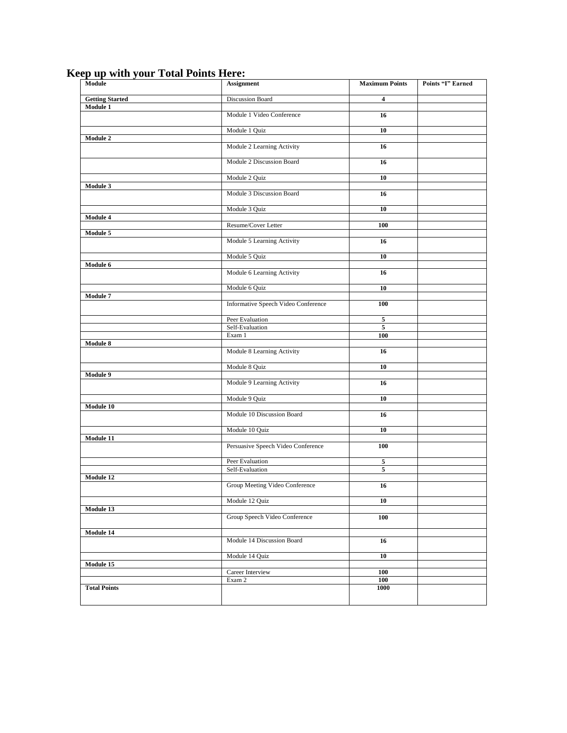| . . – <del>.</del> – –<br>ັ<br>Module | <b>Assignment</b>                   | <b>Maximum Points</b> | Points "I" Earned |
|---------------------------------------|-------------------------------------|-----------------------|-------------------|
| <b>Getting Started</b>                | <b>Discussion Board</b>             | 4                     |                   |
| Module 1                              |                                     |                       |                   |
|                                       | Module 1 Video Conference           | 16                    |                   |
|                                       | Module 1 Quiz                       | 10                    |                   |
| Module 2                              |                                     |                       |                   |
|                                       | Module 2 Learning Activity          | 16                    |                   |
|                                       | Module 2 Discussion Board           | 16                    |                   |
|                                       | Module 2 Quiz                       | 10                    |                   |
| <b>Module 3</b>                       | Module 3 Discussion Board           | 16                    |                   |
|                                       |                                     |                       |                   |
|                                       | Module 3 Quiz                       | 10                    |                   |
| Module 4                              | Resume/Cover Letter                 | 100                   |                   |
| Module 5                              |                                     |                       |                   |
|                                       | Module 5 Learning Activity          | 16                    |                   |
|                                       | Module 5 Quiz                       | 10                    |                   |
| Module 6                              |                                     |                       |                   |
|                                       | Module 6 Learning Activity          | 16                    |                   |
|                                       | Module 6 Quiz                       | 10                    |                   |
| Module 7                              | Informative Speech Video Conference | 100                   |                   |
|                                       |                                     |                       |                   |
|                                       | Peer Evaluation                     | $\overline{5}$        |                   |
|                                       | Self-Evaluation<br>Exam 1           | 5<br>100              |                   |
| Module 8                              |                                     |                       |                   |
|                                       | Module 8 Learning Activity          | 16                    |                   |
|                                       | Module 8 Quiz                       | 10                    |                   |
| <b>Module 9</b>                       |                                     |                       |                   |
|                                       | Module 9 Learning Activity          | 16                    |                   |
|                                       | Module 9 Quiz                       | 10                    |                   |
| Module 10                             | Module 10 Discussion Board          | 16                    |                   |
|                                       |                                     |                       |                   |
|                                       | Module 10 Quiz                      | 10                    |                   |
| Module 11                             | Persuasive Speech Video Conference  | 100                   |                   |
|                                       |                                     |                       |                   |
|                                       | Peer Evaluation                     | 5                     |                   |
| Module 12                             | Self-Evaluation                     | 5                     |                   |
|                                       | Group Meeting Video Conference      | 16                    |                   |
|                                       | Module 12 Quiz                      | 10                    |                   |
| Module 13                             |                                     |                       |                   |
|                                       | Group Speech Video Conference       | 100                   |                   |
| Module 14                             |                                     |                       |                   |
|                                       | Module 14 Discussion Board          | 16                    |                   |
|                                       | Module 14 Quiz                      | 10                    |                   |
| Module 15                             |                                     |                       |                   |
|                                       | Career Interview                    | 100                   |                   |
| <b>Total Points</b>                   | Exam 2                              | 100<br>1000           |                   |
|                                       |                                     |                       |                   |

## **Keep up with your Total Points Here:**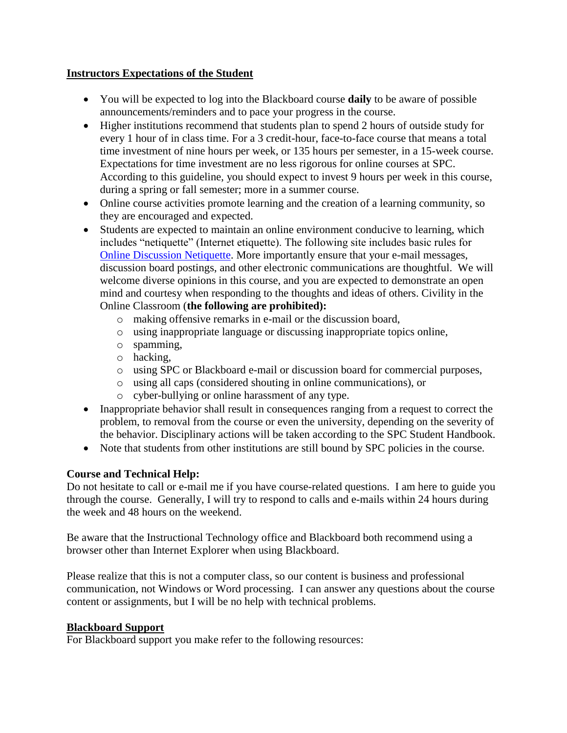## **Instructors Expectations of the Student**

- You will be expected to log into the Blackboard course **daily** to be aware of possible announcements/reminders and to pace your progress in the course.
- Higher institutions recommend that students plan to spend 2 hours of outside study for every 1 hour of in class time. For a 3 credit-hour, face-to-face course that means a total time investment of nine hours per week, or 135 hours per semester, in a 15-week course. Expectations for time investment are no less rigorous for online courses at SPC. According to this guideline, you should expect to invest 9 hours per week in this course, during a spring or fall semester; more in a summer course.
- Online course activities promote learning and the creation of a learning community, so they are encouraged and expected.
- Students are expected to maintain an online environment conducive to learning, which includes "netiquette" (Internet etiquette). The following site includes basic rules for [Online Discussion Netiquette.](https://www.depts.ttu.edu/elearning/blackboard/student/netiquette.php) More importantly ensure that your e-mail messages, discussion board postings, and other electronic communications are thoughtful. We will welcome diverse opinions in this course, and you are expected to demonstrate an open mind and courtesy when responding to the thoughts and ideas of others. Civility in the Online Classroom (**the following are prohibited):** 
	- o making offensive remarks in e-mail or the discussion board,
	- o using inappropriate language or discussing inappropriate topics online,
	- o spamming,
	- o hacking,
	- o using SPC or Blackboard e-mail or discussion board for commercial purposes,
	- o using all caps (considered shouting in online communications), or
	- o cyber-bullying or online harassment of any type.
- Inappropriate behavior shall result in consequences ranging from a request to correct the problem, to removal from the course or even the university, depending on the severity of the behavior. Disciplinary actions will be taken according to the SPC Student Handbook.
- Note that students from other institutions are still bound by SPC policies in the course.

# **Course and Technical Help:**

Do not hesitate to call or e-mail me if you have course-related questions. I am here to guide you through the course. Generally, I will try to respond to calls and e-mails within 24 hours during the week and 48 hours on the weekend.

Be aware that the Instructional Technology office and Blackboard both recommend using a browser other than Internet Explorer when using Blackboard.

Please realize that this is not a computer class, so our content is business and professional communication, not Windows or Word processing. I can answer any questions about the course content or assignments, but I will be no help with technical problems.

## **Blackboard Support**

For Blackboard support you make refer to the following resources: